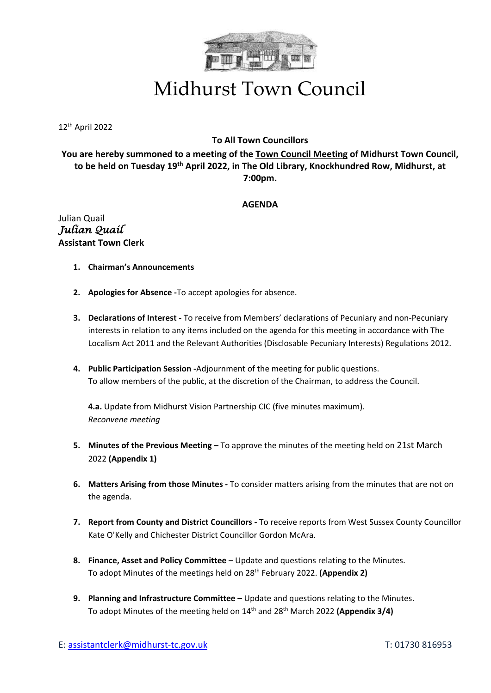

## Midhurst Town Council

12 th April 2022

## **To All Town Councillors**

**You are hereby summoned to a meeting of the Town Council Meeting of Midhurst Town Council, to be held on Tuesday 19th April 2022, in The Old Library, Knockhundred Row, Midhurst, at 7:00pm.**

## **AGENDA**

Julian Quail *Julian Quail*  **Assistant Town Clerk**

- **1. Chairman's Announcements**
- **2. Apologies for Absence -**To accept apologies for absence.
- **3. Declarations of Interest -** To receive from Members' declarations of Pecuniary and non-Pecuniary interests in relation to any items included on the agenda for this meeting in accordance with The Localism Act 2011 and the Relevant Authorities (Disclosable Pecuniary Interests) Regulations 2012.
- **4. Public Participation Session -**Adjournment of the meeting for public questions. To allow members of the public, at the discretion of the Chairman, to address the Council.

**4.a.** Update from Midhurst Vision Partnership CIC (five minutes maximum). *Reconvene meeting*

- **5. Minutes of the Previous Meeting –** To approve the minutes of the meeting held on 21st March 2022 **(Appendix 1)**
- **6. Matters Arising from those Minutes -** To consider matters arising from the minutes that are not on the agenda.
- **7. Report from County and District Councillors -** To receive reports from West Sussex County Councillor Kate O'Kelly and Chichester District Councillor Gordon McAra.
- **8. Finance, Asset and Policy Committee** Update and questions relating to the Minutes. To adopt Minutes of the meetings held on 28 th February 2022. **(Appendix 2)**
- **9.** Planning and Infrastructure Committee Update and questions relating to the Minutes. To adopt Minutes of the meeting held on 14th and 28th March 2022 **(Appendix 3/4)**